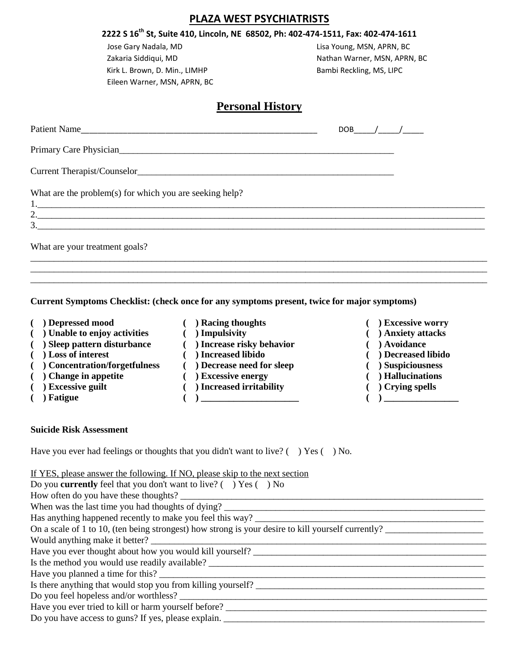## **PLAZA WEST PSYCHIATRISTS**

# **2222 S 16th St, Suite 410, Lincoln, NE 68502, Ph: 402-474-1511, Fax: 402-474-1611**

Jose Gary Nadala, MD **Lisa Young, MSN, APRN, BC** Kirk L. Brown, D. Min., LIMHP Bambi Reckling, MS, LIPC Eileen Warner, MSN, APRN, BC

Zakaria Siddiqui, MD Nathan Warner, MSN, APRN, BC

# **Personal History**

| Patient Name                                            | DOB / / |  |
|---------------------------------------------------------|---------|--|
|                                                         |         |  |
|                                                         |         |  |
| What are the problem(s) for which you are seeking help? |         |  |
| $\overline{2.}$                                         |         |  |
| What are your treatment goals?                          |         |  |
|                                                         |         |  |

\_\_\_\_\_\_\_\_\_\_\_\_\_\_\_\_\_\_\_\_\_\_\_\_\_\_\_\_\_\_\_\_\_\_\_\_\_\_\_\_\_\_\_\_\_\_\_\_\_\_\_\_\_\_\_\_\_\_\_\_\_\_\_\_\_\_\_\_\_\_\_\_\_\_\_\_\_\_\_\_\_\_\_\_\_\_\_\_\_\_\_\_\_\_\_\_\_\_

#### **Current Symptoms Checklist: (check once for any symptoms present, twice for major symptoms)**

- 
- **( ) Depressed mood ( ) Racing thoughts ( ) Excessive worry**
- **( ) Unable to enjoy activities ( ) Impulsivity ( ) Anxiety attacks**
- **( ) Sleep pattern disturbance ( ) Increase risky behavior ( ) Avoidance**
- 
- **( ) Concentration/forgetfulness ( ) Decrease need for sleep ( ) Suspiciousness**
- **( ) Change in appetite ( ) Excessive energy ( ) Hallucinations**
- **( ) Excessive guilt ( ) Increased irritability ( ) Crying spells**
- 
- **( ) Loss of interest ( ) Increased libido ( ) Decreased libido**
	-
	-
	-
- **( ) Fatigue ( ) \_\_\_\_\_\_\_\_\_\_\_\_\_\_\_\_\_\_\_\_\_ ( ) \_\_\_\_\_\_\_\_\_\_\_\_\_\_\_\_**
- 
- 
- 
- 
- 
- 
- -

#### **Suicide Risk Assessment**

Have you ever had feelings or thoughts that you didn't want to live?  $($   $)$  Yes  $($   $)$  No.

# If YES, please answer the following. If NO, please skip to the next section

| Do you <b>currently</b> feel that you don't want to live? $( \ )$ Yes $( \ )$ No                   |
|----------------------------------------------------------------------------------------------------|
| How often do you have these thoughts?                                                              |
| When was the last time you had thoughts of dying?                                                  |
| Has anything happened recently to make you feel this way?                                          |
| On a scale of 1 to 10, (ten being strongest) how strong is your desire to kill yourself currently? |
| Would anything make it better?                                                                     |
| Have you ever thought about how you would kill yourself?                                           |
| Is the method you would use readily available? _________________________________                   |
|                                                                                                    |
| Is there anything that would stop you from killing yourself?                                       |
| Do you feel hopeless and/or worthless?                                                             |
| Have you ever tried to kill or harm yourself before?                                               |
| Do you have access to guns? If yes, please explain.                                                |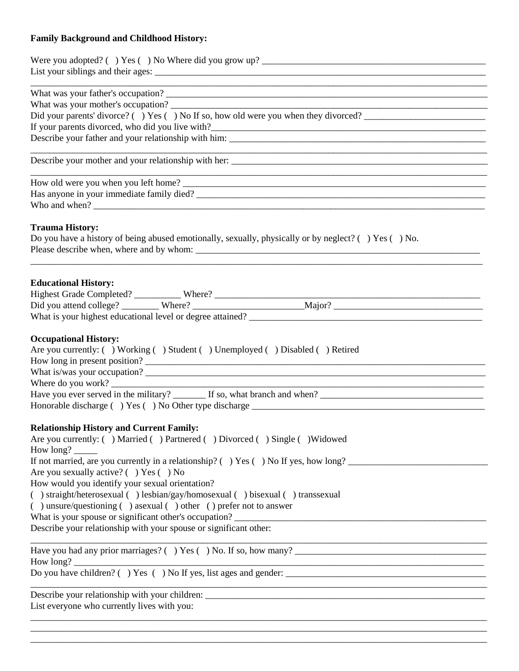# **Family Background and Childhood History:**

| <u> 1989 - Johann Stoff, deutscher Stoff, der Stoff, der Stoff, der Stoff, der Stoff, der Stoff, der Stoff, der S</u><br>What was your mother's occupation?<br>Did your parents' divorce? () Yes () No If so, how old were you when they divorced?                                                                                                                                                                                                                                                            |  |  |  |  |  |  |  |
|---------------------------------------------------------------------------------------------------------------------------------------------------------------------------------------------------------------------------------------------------------------------------------------------------------------------------------------------------------------------------------------------------------------------------------------------------------------------------------------------------------------|--|--|--|--|--|--|--|
|                                                                                                                                                                                                                                                                                                                                                                                                                                                                                                               |  |  |  |  |  |  |  |
|                                                                                                                                                                                                                                                                                                                                                                                                                                                                                                               |  |  |  |  |  |  |  |
| <b>Trauma History:</b><br>Do you have a history of being abused emotionally, sexually, physically or by neglect? $( )$ Yes $( )$ No.<br>Please describe when, where and by whom:                                                                                                                                                                                                                                                                                                                              |  |  |  |  |  |  |  |
| <b>Educational History:</b>                                                                                                                                                                                                                                                                                                                                                                                                                                                                                   |  |  |  |  |  |  |  |
| <b>Occupational History:</b><br>Are you currently: () Working () Student () Unemployed () Disabled () Retired<br>How long in present position?<br>What is/was your occupation?<br>Where do you work?                                                                                                                                                                                                                                                                                                          |  |  |  |  |  |  |  |
| <b>Relationship History and Current Family:</b><br>Are you currently: () Married () Partnered () Divorced () Single () Widowed<br>If not married, are you currently in a relationship? () Yes () No If yes, how long?                                                                                                                                                                                                                                                                                         |  |  |  |  |  |  |  |
| Are you sexually active? $( )$ Yes $( )$ No<br>How would you identify your sexual orientation?<br>() straight/heterosexual () lesbian/gay/homosexual () bisexual () transsexual<br>() unsure/questioning () as exual () other () prefer not to answer<br>What is your spouse or significant other's occupation?<br><u> 1980 - Johann Barn, amerikan besteman besteman besteman besteman besteman besteman besteman besteman besteman</u><br>Describe your relationship with your spouse or significant other: |  |  |  |  |  |  |  |
|                                                                                                                                                                                                                                                                                                                                                                                                                                                                                                               |  |  |  |  |  |  |  |
|                                                                                                                                                                                                                                                                                                                                                                                                                                                                                                               |  |  |  |  |  |  |  |
| List everyone who currently lives with you:                                                                                                                                                                                                                                                                                                                                                                                                                                                                   |  |  |  |  |  |  |  |

\_\_\_\_\_\_\_\_\_\_\_\_\_\_\_\_\_\_\_\_\_\_\_\_\_\_\_\_\_\_\_\_\_\_\_\_\_\_\_\_\_\_\_\_\_\_\_\_\_\_\_\_\_\_\_\_\_\_\_\_\_\_\_\_\_\_\_\_\_\_\_\_\_\_\_\_\_\_\_\_\_\_\_\_\_\_\_\_\_\_\_\_\_\_\_\_\_\_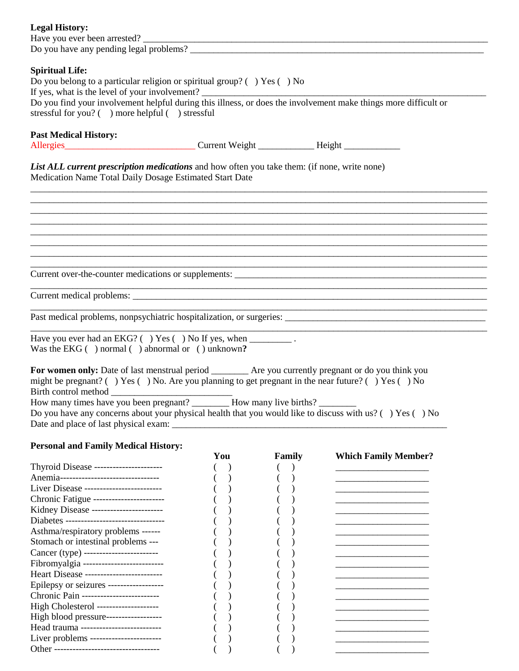| <b>Legal History:</b><br>Do you have any pending legal problems?                                                                                                                                                                                                                                                                |  |  |  |  |  |
|---------------------------------------------------------------------------------------------------------------------------------------------------------------------------------------------------------------------------------------------------------------------------------------------------------------------------------|--|--|--|--|--|
| <b>Spiritual Life:</b><br>Do you belong to a particular religion or spiritual group? $( )$ Yes $( )$ No<br>If yes, what is the level of your involvement?<br>Do you find your involvement helpful during this illness, or does the involvement make things more difficult or<br>stressful for you? () more helpful () stressful |  |  |  |  |  |
| <b>Past Medical History:</b>                                                                                                                                                                                                                                                                                                    |  |  |  |  |  |
| List ALL current prescription medications and how often you take them: (if none, write none)<br>Medication Name Total Daily Dosage Estimated Start Date                                                                                                                                                                         |  |  |  |  |  |
|                                                                                                                                                                                                                                                                                                                                 |  |  |  |  |  |
|                                                                                                                                                                                                                                                                                                                                 |  |  |  |  |  |
|                                                                                                                                                                                                                                                                                                                                 |  |  |  |  |  |
|                                                                                                                                                                                                                                                                                                                                 |  |  |  |  |  |
|                                                                                                                                                                                                                                                                                                                                 |  |  |  |  |  |
| Have you ever had an EKG? () Yes () No If yes, when ___________.<br>Was the EKG $( )$ normal $( )$ abnormal or $( )$ unknown?                                                                                                                                                                                                   |  |  |  |  |  |
| For women only: Date of last menstrual period _________ Are you currently pregnant or do you think you<br>might be pregnant? () Yes () No. Are you planning to get pregnant in the near future? () Yes () No                                                                                                                    |  |  |  |  |  |

How many times have you been pregnant? \_\_\_\_\_\_\_\_\_\_ How many live births? \_\_\_\_\_\_\_\_

Do you have any concerns about your physical health that you would like to discuss with us? ( ) Yes ( ) No Date and place of last physical exam: \_\_\_\_\_\_\_\_\_\_\_\_\_\_\_\_\_\_\_\_\_\_\_\_\_\_\_\_\_\_\_\_\_\_\_\_\_\_\_\_\_\_\_\_\_\_\_\_\_\_\_\_\_\_\_\_\_\_\_

## **Personal and Family Medical History:**

|                                           | You | Family | <b>Which Family Member?</b> |
|-------------------------------------------|-----|--------|-----------------------------|
| Thyroid Disease -----------------------   |     |        |                             |
| Anemia--------------------------------    |     |        |                             |
| Liver Disease -------------------------   |     |        |                             |
| Chronic Fatigue -----------------------   |     |        |                             |
| Kidney Disease -----------------------    |     |        |                             |
| Diabetes -------------------------------- |     |        |                             |
| Asthma/respiratory problems ------        |     |        |                             |
| Stomach or intestinal problems ---        |     |        |                             |
| Cancer (type) -------------------------   |     |        |                             |
| Fibromyalgia ---------------------------  |     |        |                             |
| Heart Disease -------------------------   |     |        |                             |
| Epilepsy or seizures ------------------   |     |        |                             |
| Chronic Pain -------------------------    |     |        |                             |
| High Cholesterol --------------------     |     |        |                             |
| High blood pressure-------------------    |     |        |                             |
| Head trauma --------------------------    |     |        |                             |
| Liver problems -----------------------    |     |        |                             |
| Other ----------------------------------- |     |        |                             |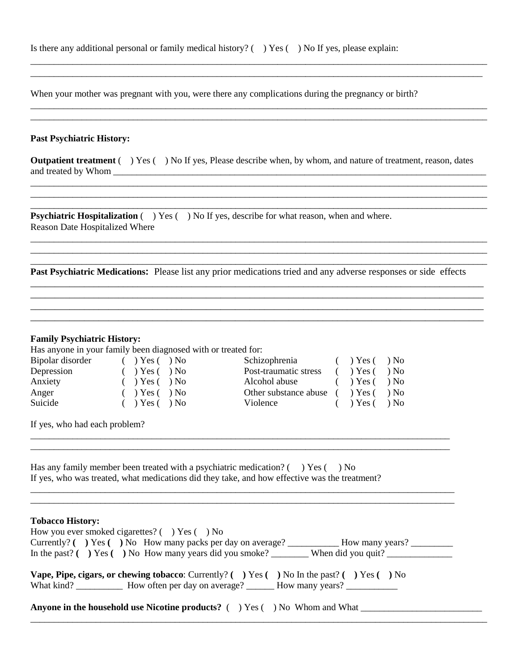| Is there any additional personal or family medical history? $($ $)$ Yes $($ $)$ No If yes, please explain: |  |  |  |  |  |
|------------------------------------------------------------------------------------------------------------|--|--|--|--|--|
|------------------------------------------------------------------------------------------------------------|--|--|--|--|--|

When your mother was pregnant with you, were there any complications during the pregnancy or birth?

#### **Past Psychiatric History:**

**Outpatient treatment** ( ) Yes ( ) No If yes, Please describe when, by whom, and nature of treatment, reason, dates and treated by Whom \_\_\_\_\_\_\_\_\_\_\_\_\_\_\_\_\_\_\_\_\_\_\_\_\_\_\_\_\_\_\_\_\_\_\_\_\_\_\_\_\_\_\_\_\_\_\_\_\_\_\_\_\_\_\_\_\_\_\_\_\_\_\_\_\_\_\_\_\_\_\_\_\_\_\_\_\_\_\_\_

\_\_\_\_\_\_\_\_\_\_\_\_\_\_\_\_\_\_\_\_\_\_\_\_\_\_\_\_\_\_\_\_\_\_\_\_\_\_\_\_\_\_\_\_\_\_\_\_\_\_\_\_\_\_\_\_\_\_\_\_\_\_\_\_\_\_\_\_\_\_\_\_\_\_\_\_\_\_\_\_\_\_\_\_\_\_\_\_\_\_\_\_\_\_\_\_\_\_

\_\_\_\_\_\_\_\_\_\_\_\_\_\_\_\_\_\_\_\_\_\_\_\_\_\_\_\_\_\_\_\_\_\_\_\_\_\_\_\_\_\_\_\_\_\_\_\_\_\_\_\_\_\_\_\_\_\_\_\_\_\_\_\_\_\_\_\_\_\_\_\_\_\_\_\_\_\_\_\_\_\_\_\_\_\_\_\_\_\_\_\_\_\_\_\_\_\_

\_\_\_\_\_\_\_\_\_\_\_\_\_\_\_\_\_\_\_\_\_\_\_\_\_\_\_\_\_\_\_\_\_\_\_\_\_\_\_\_\_\_\_\_\_\_\_\_\_\_\_\_\_\_\_\_\_\_\_\_\_\_\_\_\_\_\_\_\_\_\_\_\_\_\_\_\_\_\_\_\_\_\_\_\_\_\_\_\_\_\_\_\_\_\_\_\_\_

\_\_\_\_\_\_\_\_\_\_\_\_\_\_\_\_\_\_\_\_\_\_\_\_\_\_\_\_\_\_\_\_\_\_\_\_\_\_\_\_\_\_\_\_\_\_\_\_\_\_\_\_\_\_\_\_\_\_\_\_\_\_\_\_\_\_\_\_\_\_\_\_\_\_\_\_\_\_\_\_\_\_\_\_\_\_\_\_\_\_\_\_\_

\_\_\_\_\_\_\_\_\_\_\_\_\_\_\_\_\_\_\_\_\_\_\_\_\_\_\_\_\_\_\_\_\_\_\_\_\_\_\_\_\_\_\_\_\_\_\_\_\_\_\_\_\_\_\_\_\_\_\_\_\_\_\_\_\_\_\_\_\_\_\_\_\_\_\_\_\_\_\_\_\_\_\_\_\_\_\_\_\_\_\_\_\_

\_\_\_\_\_\_\_\_\_\_\_\_\_\_\_\_\_\_\_\_\_\_\_\_\_\_\_\_\_\_\_\_\_\_\_\_\_\_\_\_\_\_\_\_\_\_\_\_\_\_\_\_\_\_\_\_\_\_\_\_\_\_\_\_\_\_\_\_\_\_\_\_\_\_\_\_\_\_\_\_\_\_\_\_\_\_\_\_\_\_\_\_\_\_\_\_\_\_ \_\_\_\_\_\_\_\_\_\_\_\_\_\_\_\_\_\_\_\_\_\_\_\_\_\_\_\_\_\_\_\_\_\_\_\_\_\_\_\_\_\_\_\_\_\_\_\_\_\_\_\_\_\_\_\_\_\_\_\_\_\_\_\_\_\_\_\_\_\_\_\_\_\_\_\_\_\_\_\_\_\_\_\_\_\_\_\_\_\_\_\_\_\_\_\_\_

\_\_\_\_\_\_\_\_\_\_\_\_\_\_\_\_\_\_\_\_\_\_\_\_\_\_\_\_\_\_\_\_\_\_\_\_\_\_\_\_\_\_\_\_\_\_\_\_\_\_\_\_\_\_\_\_\_\_\_\_\_\_\_\_\_\_\_\_\_\_\_\_\_\_\_\_\_\_\_\_\_\_\_\_\_\_\_\_\_\_\_\_\_\_\_\_\_\_ \_\_\_\_\_\_\_\_\_\_\_\_\_\_\_\_\_\_\_\_\_\_\_\_\_\_\_\_\_\_\_\_\_\_\_\_\_\_\_\_\_\_\_\_\_\_\_\_\_\_\_\_\_\_\_\_\_\_\_\_\_\_\_\_\_\_\_\_\_\_\_\_\_\_\_\_\_\_\_\_\_\_\_\_\_\_\_\_\_\_\_\_\_\_\_\_\_\_

**Psychiatric Hospitalization**  $( )$  **Yes**  $( )$  **No If yes, describe for what reason, when and where.** Reason Date Hospitalized Where

**Past Psychiatric Medications:** Please list any prior medications tried and any adverse responses or side effects

#### **Family Psychiatric History:**

Has anyone in your family been diagnosed with or treated for:

| Schizophrenia () Yes () No                   |
|----------------------------------------------|
| Post-traumatic stress () Yes () No           |
| Alcohol abuse ( ) Yes ( ) No                 |
| Other substance abuse $($ $)$ Yes $($ $)$ No |
| $( )$ Yes $( )$ No                           |
|                                              |

If yes, who had each problem?

Has any family member been treated with a psychiatric medication?  $($ ) Yes  $($ ) No If yes, who was treated, what medications did they take, and how effective was the treatment?

#### **Tobacco History:**

| How you ever smoked cigarettes? $($ $)$ Yes $($ $)$ No                                            |  |  |  |  |  |
|---------------------------------------------------------------------------------------------------|--|--|--|--|--|
| Currently? $( \ )$ Yes $( \ )$ No How many packs per day on average? How many years?              |  |  |  |  |  |
|                                                                                                   |  |  |  |  |  |
| <b>Vape, Pipe, cigars, or chewing tobacco</b> : Currently? () Yes () No In the past? () Yes () No |  |  |  |  |  |
| <b>Anyone in the household use Nicotine products?</b> ( ) Yes ( ) No Whom and What                |  |  |  |  |  |

\_\_\_\_\_\_\_\_\_\_\_\_\_\_\_\_\_\_\_\_\_\_\_\_\_\_\_\_\_\_\_\_\_\_\_\_\_\_\_\_\_\_\_\_\_\_\_\_\_\_\_\_\_\_\_\_\_\_\_\_\_\_\_\_\_\_\_\_\_\_\_\_\_\_\_\_\_\_\_\_\_\_\_\_\_\_\_\_\_\_\_\_\_\_\_\_\_\_

\_\_\_\_\_\_\_\_\_\_\_\_\_\_\_\_\_\_\_\_\_\_\_\_\_\_\_\_\_\_\_\_\_\_\_\_\_\_\_\_\_\_\_\_\_\_\_\_\_\_\_\_\_\_\_\_\_\_\_\_\_\_\_\_\_\_\_\_\_\_\_\_\_\_\_\_\_\_\_\_\_\_\_\_\_\_\_\_\_\_

\_\_\_\_\_\_\_\_\_\_\_\_\_\_\_\_\_\_\_\_\_\_\_\_\_\_\_\_\_\_\_\_\_\_\_\_\_\_\_\_\_\_\_\_\_\_\_\_\_\_\_\_\_\_\_\_\_\_\_\_\_\_\_\_\_\_\_\_\_\_\_\_\_\_\_\_\_\_\_\_\_\_\_\_\_\_\_\_\_\_\_ \_\_\_\_\_\_\_\_\_\_\_\_\_\_\_\_\_\_\_\_\_\_\_\_\_\_\_\_\_\_\_\_\_\_\_\_\_\_\_\_\_\_\_\_\_\_\_\_\_\_\_\_\_\_\_\_\_\_\_\_\_\_\_\_\_\_\_\_\_\_\_\_\_\_\_\_\_\_\_\_\_\_\_\_\_\_\_\_\_\_\_